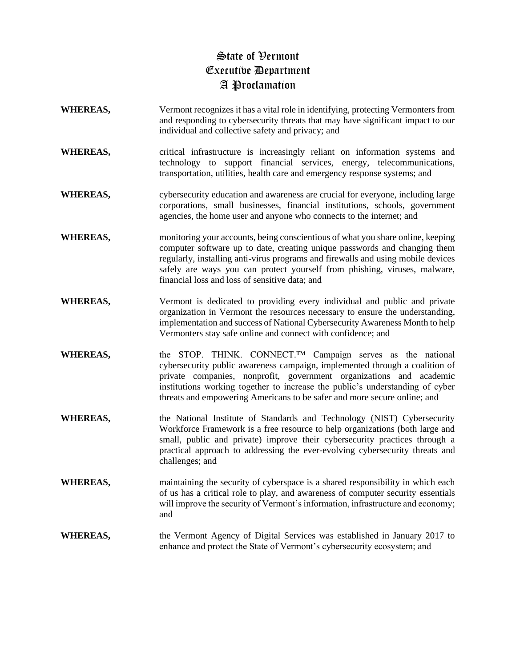## State of Vermont Executive Department A Proclamation

- **WHEREAS,** Vermont recognizes it has a vital role in identifying, protecting Vermonters from and responding to cybersecurity threats that may have significant impact to our individual and collective safety and privacy; and
- WHEREAS, critical infrastructure is increasingly reliant on information systems and technology to support financial services, energy, telecommunications, transportation, utilities, health care and emergency response systems; and
- **WHEREAS,** cybersecurity education and awareness are crucial for everyone, including large corporations, small businesses, financial institutions, schools, government agencies, the home user and anyone who connects to the internet; and
- **WHEREAS,** monitoring your accounts, being conscientious of what you share online, keeping computer software up to date, creating unique passwords and changing them regularly, installing anti-virus programs and firewalls and using mobile devices safely are ways you can protect yourself from phishing, viruses, malware, financial loss and loss of sensitive data; and
- **WHEREAS,** Vermont is dedicated to providing every individual and public and private organization in Vermont the resources necessary to ensure the understanding, implementation and success of National Cybersecurity Awareness Month to help Vermonters stay safe online and connect with confidence; and
- **WHEREAS,** the STOP. THINK. CONNECT.™ Campaign serves as the national cybersecurity public awareness campaign, implemented through a coalition of private companies, nonprofit, government organizations and academic institutions working together to increase the public's understanding of cyber threats and empowering Americans to be safer and more secure online; and
- **WHEREAS,** the National Institute of Standards and Technology (NIST) Cybersecurity Workforce Framework is a free resource to help organizations (both large and small, public and private) improve their cybersecurity practices through a practical approach to addressing the ever-evolving cybersecurity threats and challenges; and
- **WHEREAS,** maintaining the security of cyberspace is a shared responsibility in which each of us has a critical role to play, and awareness of computer security essentials will improve the security of Vermont's information, infrastructure and economy; and
- **WHEREAS,** the Vermont Agency of Digital Services was established in January 2017 to enhance and protect the State of Vermont's cybersecurity ecosystem; and